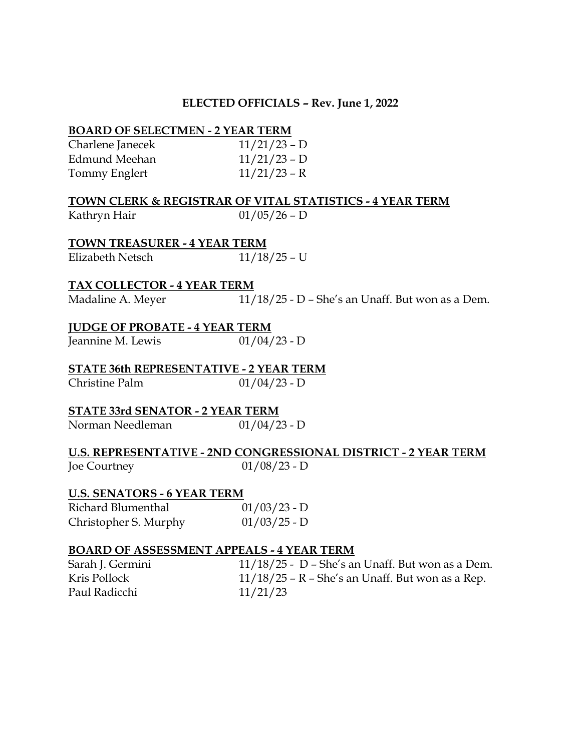#### **ELECTED OFFICIALS – Rev. June 1, 2022**

#### **BOARD OF SELECTMEN - 2 YEAR TERM**

| Charlene Janecek | $11/21/23 - D$ |
|------------------|----------------|
| Edmund Meehan    | $11/21/23 - D$ |
| Tommy Englert    | $11/21/23 - R$ |

#### **TOWN CLERK & REGISTRAR OF VITAL STATISTICS - 4 YEAR TERM**

Kathryn Hair  $01/05/26 - D$ 

**TOWN TREASURER - 4 YEAR TERM** Elizabeth Netsch 11/18/25 – U

#### **TAX COLLECTOR - 4 YEAR TERM**

Madaline A. Meyer 11/18/25 - D - She's an Unaff. But won as a Dem.

#### **JUDGE OF PROBATE - 4 YEAR TERM**

Jeannine M. Lewis  $01/04/23 - D$ 

**STATE 36th REPRESENTATIVE - 2 YEAR TERM** Christine Palm 01/04/23 - D

# **STATE 33rd SENATOR - 2 YEAR TERM**

Norman Needleman 01/04/23 - D

## **U.S. REPRESENTATIVE - 2ND CONGRESSIONAL DISTRICT - 2 YEAR TERM**

Joe Courtney 01/08/23 - D

#### **U.S. SENATORS - 6 YEAR TERM**

Richard Blumenthal 01/03/23 - D Christopher S. Murphy 01/03/25 - D

#### **BOARD OF ASSESSMENT APPEALS - 4 YEAR TERM**

Sarah J. Germini 11/18/25 - D – She's an Unaff. But won as a Dem. Kris Pollock 11/18/25 – R – She's an Unaff. But won as a Rep. Paul Radicchi 11/21/23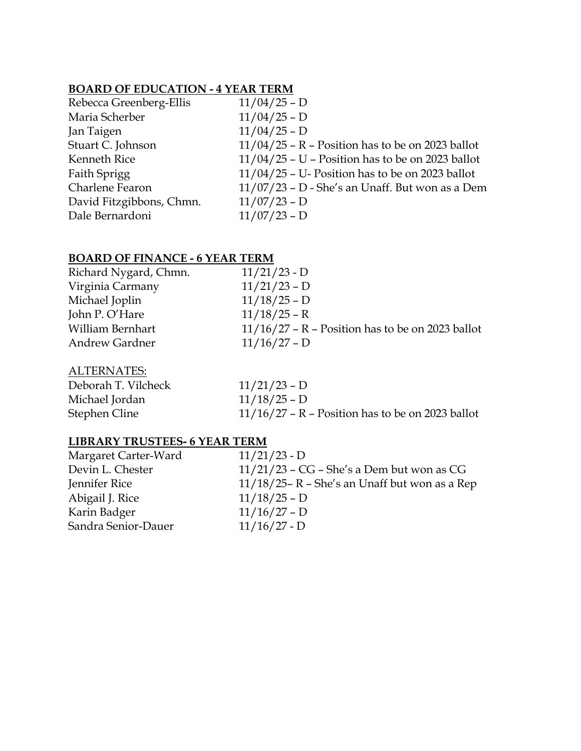#### **BOARD OF EDUCATION - 4 YEAR TERM**

| Rebecca Greenberg-Ellis  | $11/04/25 - D$                                     |
|--------------------------|----------------------------------------------------|
| Maria Scherber           | $11/04/25 - D$                                     |
| Jan Taigen               | $11/04/25 - D$                                     |
| Stuart C. Johnson        | $11/04/25$ – R – Position has to be on 2023 ballot |
| Kenneth Rice             | $11/04/25$ – U – Position has to be on 2023 ballot |
| Faith Sprigg             | $11/04/25$ – U- Position has to be on 2023 ballot  |
| Charlene Fearon          | $11/07/23$ – D - She's an Unaff. But won as a Dem  |
| David Fitzgibbons, Chmn. | $11/07/23 - D$                                     |
| Dale Bernardoni          | $11/07/23 - D$                                     |
|                          |                                                    |

### **BOARD OF FINANCE - 6 YEAR TERM**

| Richard Nygard, Chmn. | $11/21/23 - D$                                     |
|-----------------------|----------------------------------------------------|
| Virginia Carmany      | $11/21/23 - D$                                     |
| Michael Joplin        | $11/18/25 - D$                                     |
| John P. O'Hare        | $11/18/25 - R$                                     |
| William Bernhart      | $11/16/27$ – R – Position has to be on 2023 ballot |
| <b>Andrew Gardner</b> | $11/16/27 - D$                                     |
|                       |                                                    |

#### ALTERNATES:

| Deborah T. Vilcheck | $11/21/23 - D$                                     |
|---------------------|----------------------------------------------------|
| Michael Jordan      | $11/18/25 - D$                                     |
| Stephen Cline       | $11/16/27$ – R – Position has to be on 2023 ballot |

#### **LIBRARY TRUSTEES- 6 YEAR TERM**

| Margaret Carter-Ward | $11/21/23 - D$                                   |
|----------------------|--------------------------------------------------|
| Devin L. Chester     | $11/21/23$ – CG – She's a Dem but won as CG      |
| Jennifer Rice        | $11/18/25$ – R – She's an Unaff but won as a Rep |
| Abigail J. Rice      | $11/18/25 - D$                                   |
| Karin Badger         | $11/16/27 - D$                                   |
| Sandra Senior-Dauer  | $11/16/27 - D$                                   |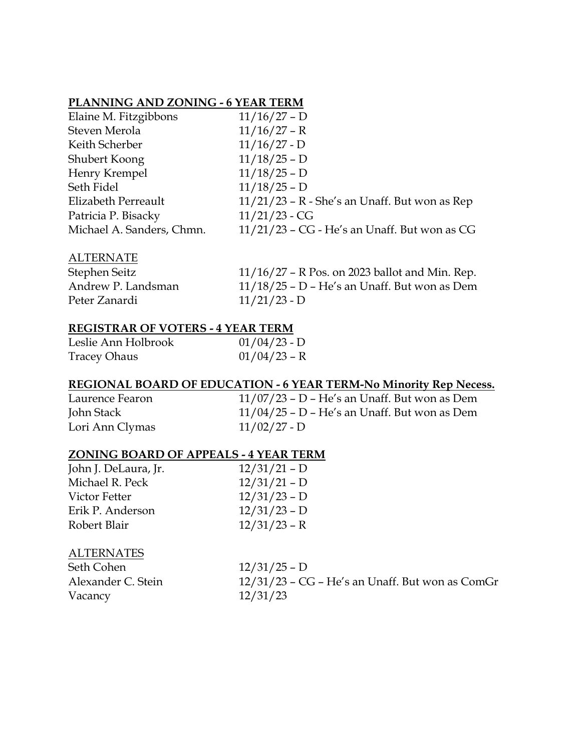#### **PLANNING AND ZONING - 6 YEAR TERM**

| Elaine M. Fitzgibbons     | $11/16/27 - D$                                  |
|---------------------------|-------------------------------------------------|
| Steven Merola             | $11/16/27 - R$                                  |
| Keith Scherber            | $11/16/27 - D$                                  |
| Shubert Koong             | $11/18/25 - D$                                  |
| Henry Krempel             | $11/18/25 - D$                                  |
| Seth Fidel                | $11/18/25 - D$                                  |
| Elizabeth Perreault       | $11/21/23$ – R - She's an Unaff. But won as Rep |
| Patricia P. Bisacky       | $11/21/23$ - CG                                 |
| Michael A. Sanders, Chmn. | $11/21/23$ – CG - He's an Unaff. But won as CG  |

#### ALTERNATE

| Stephen Seitz      | $11/16/27$ – R Pos. on 2023 ballot and Min. Rep. |
|--------------------|--------------------------------------------------|
| Andrew P. Landsman | $11/18/25$ – D – He's an Unaff. But won as Dem   |
| Peter Zanardi      | $11/21/23 - D$                                   |

#### **REGISTRAR OF VOTERS - 4 YEAR TERM**

| Leslie Ann Holbrook | $01/04/23$ - D |
|---------------------|----------------|
| <b>Tracey Ohaus</b> | $01/04/23$ – R |

#### **REGIONAL BOARD OF EDUCATION - 6 YEAR TERM-No Minority Rep Necess.**

| Laurence Fearon | $11/07/23$ – D – He's an Unaff. But won as Dem |
|-----------------|------------------------------------------------|
| John Stack      | $11/04/25$ – D – He's an Unaff. But won as Dem |
| Lori Ann Clymas | $11/02/27 - D$                                 |

#### **ZONING BOARD OF APPEALS - 4 YEAR TERM**

| John J. DeLaura, Jr. | $12/31/21 - D$ |
|----------------------|----------------|
| Michael R. Peck      | $12/31/21 - D$ |
| Victor Fetter        | $12/31/23 - D$ |
| Erik P. Anderson     | $12/31/23 - D$ |
| Robert Blair         | $12/31/23 - R$ |

#### **ALTERNATES**

| Seth Cohen         | $12/31/25 - D$                                    |
|--------------------|---------------------------------------------------|
| Alexander C. Stein | $12/31/23$ – CG – He's an Unaff. But won as ComGr |
| Vacancy            | 12/31/23                                          |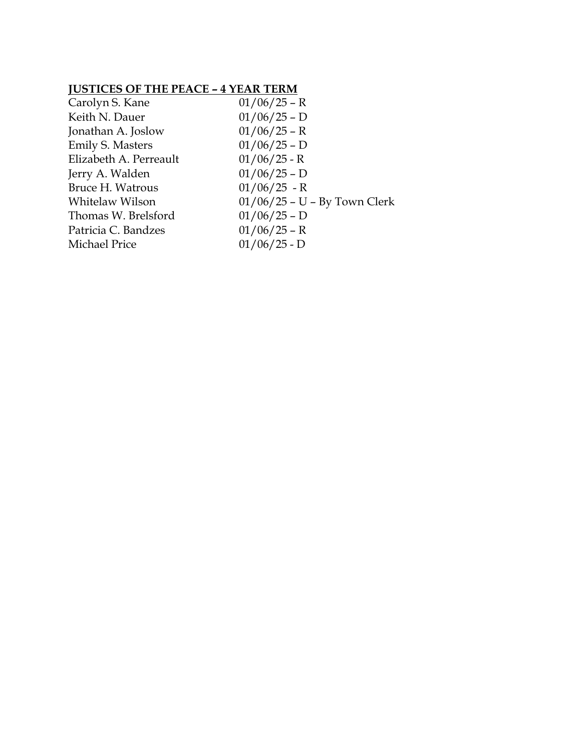#### **JUSTICES OF THE PEACE – 4 YEAR TERM**

| Carolyn S. Kane         | $01/06/25$ – R                 |
|-------------------------|--------------------------------|
| Keith N. Dauer          | $01/06/25 - D$                 |
| Jonathan A. Joslow      | $01/06/25$ – R                 |
| <b>Emily S. Masters</b> | $01/06/25 - D$                 |
| Elizabeth A. Perreault  | $01/06/25$ - R                 |
| Jerry A. Walden         | $01/06/25 - D$                 |
| <b>Bruce H. Watrous</b> | $01/06/25$ - R                 |
| Whitelaw Wilson         | $01/06/25$ – U – By Town Clerk |
| Thomas W. Brelsford     | $01/06/25 - D$                 |
| Patricia C. Bandzes     | $01/06/25 - R$                 |
| Michael Price           | $01/06/25 - D$                 |
|                         |                                |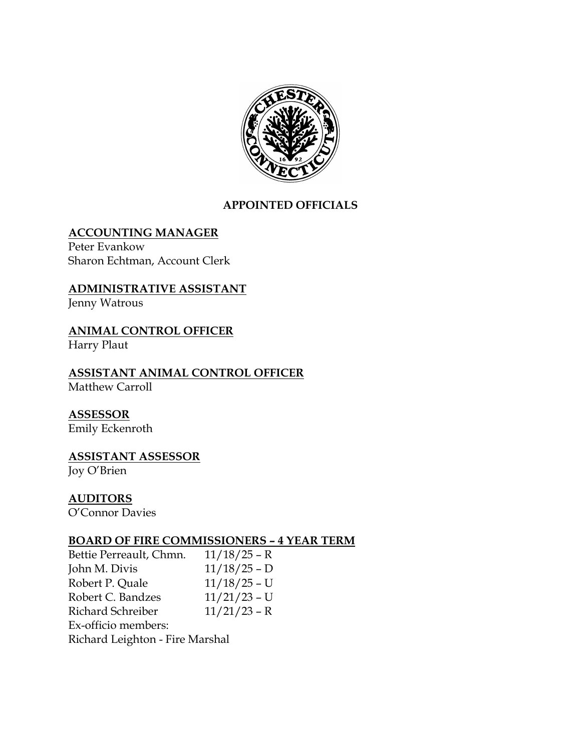

#### **APPOINTED OFFICIALS**

#### **ACCOUNTING MANAGER**

Peter Evankow Sharon Echtman, Account Clerk

#### **ADMINISTRATIVE ASSISTANT**

Jenny Watrous

### **ANIMAL CONTROL OFFICER**

Harry Plaut

#### **ASSISTANT ANIMAL CONTROL OFFICER** Matthew Carroll

### **ASSESSOR**

Emily Eckenroth

## **ASSISTANT ASSESSOR**

Joy O'Brien

#### **AUDITORS**

O'Connor Davies

#### **BOARD OF FIRE COMMISSIONERS – 4 YEAR TERM**

Bettie Perreault, Chmn. 11/18/25 – R John M. Divis 11/18/25 – D Robert P. Quale 11/18/25 – U Robert C. Bandzes 11/21/23 – U Richard Schreiber 11/21/23 – R Ex-officio members: Richard Leighton - Fire Marshal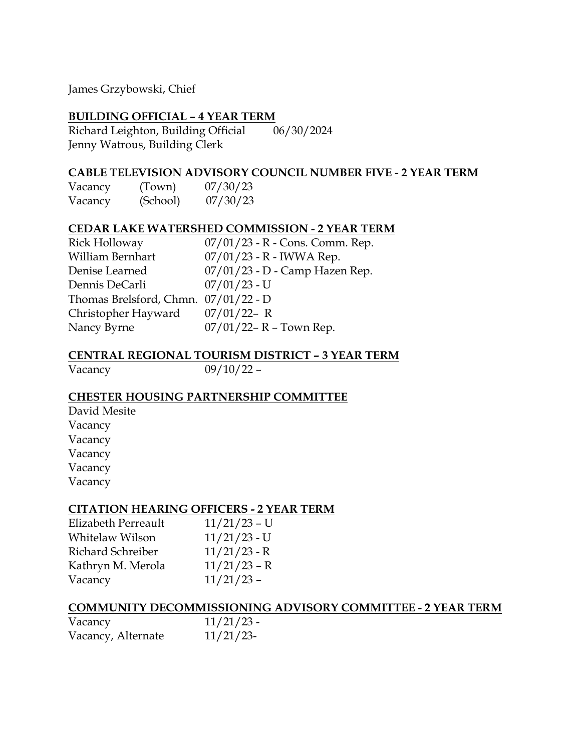James Grzybowski, Chief

#### **BUILDING OFFICIAL – 4 YEAR TERM**

Richard Leighton, Building Official 06/30/2024 Jenny Watrous, Building Clerk

#### **CABLE TELEVISION ADVISORY COUNCIL NUMBER FIVE - 2 YEAR TERM**

| Vacancy | (Town)   | 07/30/23 |
|---------|----------|----------|
| Vacancy | (School) | 07/30/23 |

#### **CEDAR LAKE WATERSHED COMMISSION - 2 YEAR TERM**

| <b>Rick Holloway</b>                   | $07/01/23$ - R - Cons. Comm. Rep. |
|----------------------------------------|-----------------------------------|
| William Bernhart                       | $07/01/23$ - R - IWWA Rep.        |
| Denise Learned                         | 07/01/23 - D - Camp Hazen Rep.    |
| Dennis DeCarli                         | $07/01/23$ - U                    |
| Thomas Brelsford, Chmn. $07/01/22 - D$ |                                   |
| Christopher Hayward                    | $07/01/22 - R$                    |
| Nancy Byrne                            | $07/01/22 - R - Town Rep.$        |

#### **CENTRAL REGIONAL TOURISM DISTRICT – 3 YEAR TERM**

Vacancy 09/10/22 –

#### **CHESTER HOUSING PARTNERSHIP COMMITTEE**

David Mesite Vacancy Vacancy Vacancy Vacancy Vacancy

#### **CITATION HEARING OFFICERS - 2 YEAR TERM**

| Elizabeth Perreault | $11/21/23$ – U |
|---------------------|----------------|
| Whitelaw Wilson     | $11/21/23$ - U |
| Richard Schreiber   | $11/21/23$ - R |
| Kathryn M. Merola   | $11/21/23 - R$ |
| Vacancy             | $11/21/23$ -   |

#### **COMMUNITY DECOMMISSIONING ADVISORY COMMITTEE - 2 YEAR TERM**

| Vacancy            | $11/21/23$ - |
|--------------------|--------------|
| Vacancy, Alternate | $11/21/23$ - |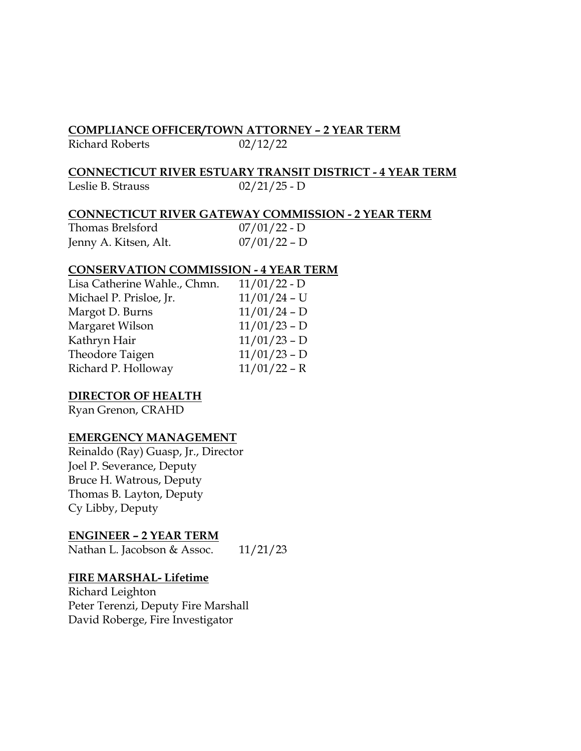#### **COMPLIANCE OFFICER/TOWN ATTORNEY – 2 YEAR TERM**

Richard Roberts 02/12/22

#### **CONNECTICUT RIVER ESTUARY TRANSIT DISTRICT - 4 YEAR TERM**

Leslie B. Strauss 02/21/25 - D

#### **CONNECTICUT RIVER GATEWAY COMMISSION - 2 YEAR TERM**

| Thomas Brelsford      | $07/01/22 - D$ |
|-----------------------|----------------|
| Jenny A. Kitsen, Alt. | $07/01/22 - D$ |

#### **CONSERVATION COMMISSION - 4 YEAR TERM**

| $11/01/22 - D$ |
|----------------|
|                |
| $11/01/24$ - U |
| $11/01/24 - D$ |
| $11/01/23 - D$ |
| $11/01/23 - D$ |
| $11/01/23 - D$ |
| $11/01/22 - R$ |
|                |

#### **DIRECTOR OF HEALTH**

Ryan Grenon, CRAHD

#### **EMERGENCY MANAGEMENT**

Reinaldo (Ray) Guasp, Jr., Director Joel P. Severance, Deputy Bruce H. Watrous, Deputy Thomas B. Layton, Deputy Cy Libby, Deputy

#### **ENGINEER – 2 YEAR TERM**

Nathan L. Jacobson & Assoc. 11/21/23

#### **FIRE MARSHAL- Lifetime**

Richard Leighton Peter Terenzi, Deputy Fire Marshall David Roberge, Fire Investigator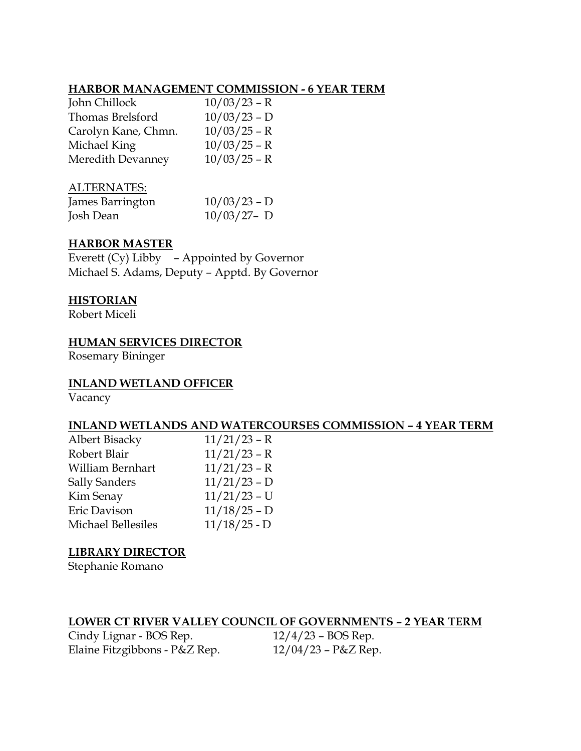#### **HARBOR MANAGEMENT COMMISSION - 6 YEAR TERM**

| $10/03/23 - R$ |
|----------------|
| $10/03/23 - D$ |
| $10/03/25 - R$ |
| $10/03/25 - R$ |
| $10/03/25 - R$ |
|                |

#### ALTERNATES:

| James Barrington | $10/03/23 - D$ |
|------------------|----------------|
| Josh Dean        | $10/03/27 - D$ |

#### **HARBOR MASTER**

Everett (Cy) Libby – Appointed by Governor Michael S. Adams, Deputy – Apptd. By Governor

#### **HISTORIAN**

Robert Miceli

#### **HUMAN SERVICES DIRECTOR**

Rosemary Bininger

#### **INLAND WETLAND OFFICER**

Vacancy

#### **INLAND WETLANDS AND WATERCOURSES COMMISSION – 4 YEAR TERM**

| $11/21/23 - R$ |
|----------------|
| $11/21/23 - R$ |
| $11/21/23 - R$ |
| $11/21/23 - D$ |
| $11/21/23$ - U |
| $11/18/25 - D$ |
| $11/18/25 - D$ |
|                |

#### **LIBRARY DIRECTOR**

Stephanie Romano

#### **LOWER CT RIVER VALLEY COUNCIL OF GOVERNMENTS – 2 YEAR TERM**

Cindy Lignar - BOS Rep. 12/4/23 – BOS Rep. Elaine Fitzgibbons - P&Z Rep. 12/04/23 – P&Z Rep.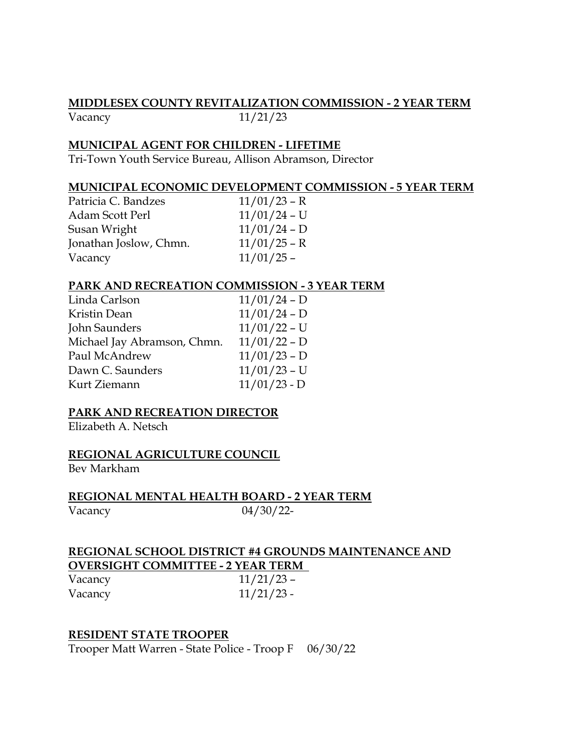#### **MIDDLESEX COUNTY REVITALIZATION COMMISSION - 2 YEAR TERM**

#### Vacancy 11/21/23

#### **MUNICIPAL AGENT FOR CHILDREN - LIFETIME**

Tri-Town Youth Service Bureau, Allison Abramson, Director

#### **MUNICIPAL ECONOMIC DEVELOPMENT COMMISSION - 5 YEAR TERM**

| Patricia C. Bandzes    | $11/01/23 - R$ |
|------------------------|----------------|
| Adam Scott Perl        | $11/01/24$ – U |
| Susan Wright           | $11/01/24 - D$ |
| Jonathan Joslow, Chmn. | $11/01/25 - R$ |
| Vacancy                | $11/01/25$ -   |

#### **PARK AND RECREATION COMMISSION - 3 YEAR TERM**

| Linda Carlson               | $11/01/24 - D$ |
|-----------------------------|----------------|
| Kristin Dean                | $11/01/24 - D$ |
| John Saunders               | $11/01/22$ – U |
| Michael Jay Abramson, Chmn. | $11/01/22 - D$ |
| Paul McAndrew               | $11/01/23 - D$ |
| Dawn C. Saunders            | $11/01/23$ – U |
| Kurt Ziemann                | $11/01/23 - D$ |

#### **PARK AND RECREATION DIRECTOR**

Elizabeth A. Netsch

#### **REGIONAL AGRICULTURE COUNCIL**

Bev Markham

**REGIONAL MENTAL HEALTH BOARD - 2 YEAR TERM** Vacancy 04/30/22-

#### **REGIONAL SCHOOL DISTRICT #4 GROUNDS MAINTENANCE AND OVERSIGHT COMMITTEE - 2 YEAR TERM**

| Vacancy | $11/21/23$ – |
|---------|--------------|
| Vacancy | $11/21/23$ - |

#### **RESIDENT STATE TROOPER**

Trooper Matt Warren - State Police - Troop F 06/30/22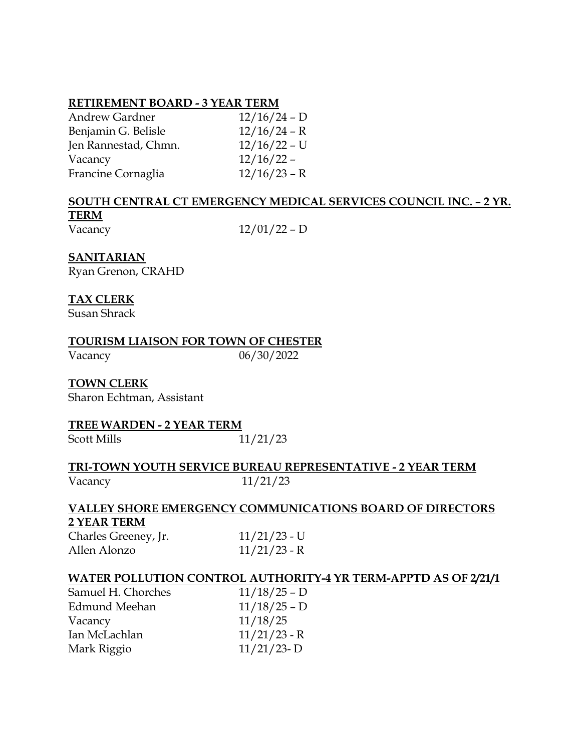#### **RETIREMENT BOARD - 3 YEAR TERM**

| <b>Andrew Gardner</b> | $12/16/24 - D$ |
|-----------------------|----------------|
| Benjamin G. Belisle   | $12/16/24 - R$ |
| Jen Rannestad, Chmn.  | $12/16/22 - U$ |
| Vacancy               | $12/16/22 -$   |
| Francine Cornaglia    | $12/16/23 - R$ |

#### **SOUTH CENTRAL CT EMERGENCY MEDICAL SERVICES COUNCIL INC. – 2 YR. TERM** Vacancy 12/01/22 – D

#### **SANITARIAN**

Ryan Grenon, CRAHD

#### **TAX CLERK**

Susan Shrack

**TOURISM LIAISON FOR TOWN OF CHESTER**

Vacancy 06/30/2022

#### **TOWN CLERK**

Sharon Echtman, Assistant

#### **TREE WARDEN - 2 YEAR TERM**

Scott Mills 11/21/23

#### **TRI-TOWN YOUTH SERVICE BUREAU REPRESENTATIVE - 2 YEAR TERM** Vacancy 11/21/23

#### **VALLEY SHORE EMERGENCY COMMUNICATIONS BOARD OF DIRECTORS 2 YEAR TERM**

| Charles Greeney, Jr. | $11/21/23$ - U |
|----------------------|----------------|
| Allen Alonzo         | $11/21/23$ - R |

#### **WATER POLLUTION CONTROL AUTHORITY-4 YR TERM-APPTD AS OF 2/21/1**

| Samuel H. Chorches   | $11/18/25 - D$ |
|----------------------|----------------|
| <b>Edmund Meehan</b> | $11/18/25 - D$ |
| Vacancy              | 11/18/25       |
| Ian McLachlan        | $11/21/23$ - R |
| Mark Riggio          | $11/21/23 - D$ |